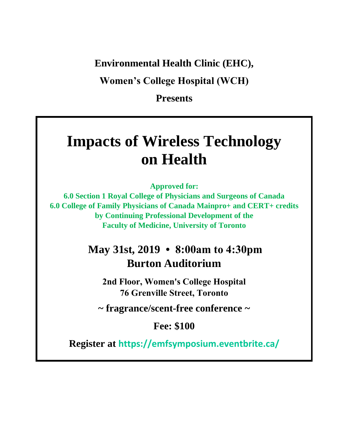#### **Environmental Health Clinic (EHC),**

**Women's College Hospital (WCH)**

**Presents**

# **Impacts of Wireless Technology on Health**

**Approved for:**

**6.0 Section 1 Royal College of Physicians and Surgeons of Canada 6.0 College of Family Physicians of Canada Mainpro+ and CERT+ credits by Continuing Professional Development of the Faculty of Medicine, University of Toronto**

## **May 31st, 2019 • 8:00am to 4:30pm Burton Auditorium**

**2nd Floor, Women's College Hospital 76 Grenville Street, Toronto**

**~ fragrance/scent-free conference ~** 

**Fee: \$100** 

**Register at https://emfsymposium.eventbrite.ca/**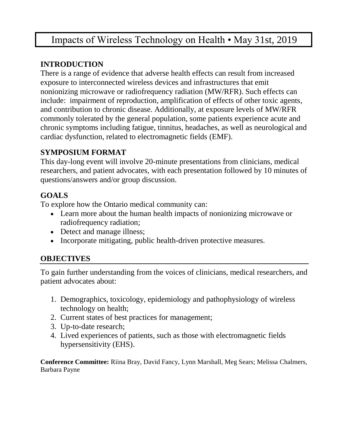### Impacts of Wireless Technology on Health • May 31st, 2019

#### **INTRODUCTION**

There is a range of evidence that adverse health effects can result from increased exposure to interconnected wireless devices and infrastructures that emit nonionizing microwave or radiofrequency radiation (MW/RFR). Such effects can include: impairment of reproduction, amplification of effects of other toxic agents, and contribution to chronic disease. Additionally, at exposure levels of MW/RFR commonly tolerated by the general population, some patients experience acute and chronic symptoms including fatigue, tinnitus, headaches, as well as neurological and cardiac dysfunction, related to electromagnetic fields (EMF).

#### **SYMPOSIUM FORMAT**

This day-long event will involve 20-minute presentations from clinicians, medical researchers, and patient advocates, with each presentation followed by 10 minutes of questions/answers and/or group discussion.

#### **GOALS**

To explore how the Ontario medical community can:

- Learn more about the human health impacts of nonionizing microwave or radiofrequency radiation;
- Detect and manage illness;
- Incorporate mitigating, public health-driven protective measures.

#### **OBJECTIVES**

To gain further understanding from the voices of clinicians, medical researchers, and patient advocates about:

- 1. Demographics, toxicology, epidemiology and pathophysiology of wireless technology on health;
- 2. Current states of best practices for management;
- 3. Up-to-date research;
- 4. Lived experiences of patients, such as those with electromagnetic fields hypersensitivity (EHS).

**Conference Committee:** Riina Bray, David Fancy, Lynn Marshall, Meg Sears; Melissa Chalmers, Barbara Payne